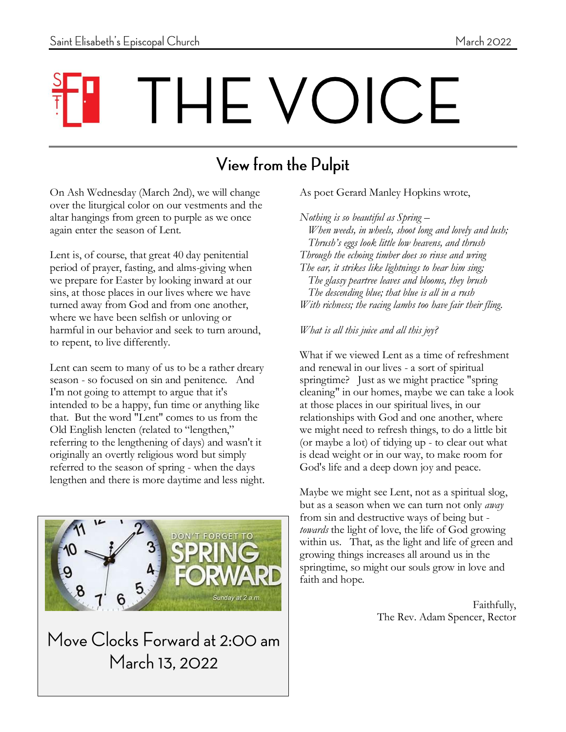# THE VOICE

## View from the Pulpit

1

On Ash Wednesday (March 2nd), we will change over the liturgical color on our vestments and the altar hangings from green to purple as we once again enter the season of Lent.

Lent is, of course, that great 40 day penitential period of prayer, fasting, and alms-giving when we prepare for Easter by looking inward at our sins, at those places in our lives where we have turned away from God and from one another, where we have been selfish or unloving or harmful in our behavior and seek to turn around, to repent, to live differently.

Lent can seem to many of us to be a rather dreary season - so focused on sin and penitence. And I'm not going to attempt to argue that it's intended to be a happy, fun time or anything like that. But the word "Lent" comes to us from the Old English lencten (related to "lengthen," referring to the lengthening of days) and wasn't it originally an overtly religious word but simply referred to the season of spring - when the days lengthen and there is more daytime and less night.



Move Clocks Forward at 2:00 am March 13, 2022

#### As poet Gerard Manley Hopkins wrote,

*Nothing is so beautiful as Spring – When weeds, in wheels, shoot long and lovely and lush; Thrush's eggs look little low heavens, and thrush Through the echoing timber does so rinse and wring The ear, it strikes like lightnings to hear him sing; The glassy peartree leaves and blooms, they brush The descending blue; that blue is all in a rush With richness; the racing lambs too have fair their fling.* 

#### *What is all this juice and all this joy?*

What if we viewed Lent as a time of refreshment and renewal in our lives - a sort of spiritual springtime? Just as we might practice "spring cleaning" in our homes, maybe we can take a look at those places in our spiritual lives, in our relationships with God and one another, where we might need to refresh things, to do a little bit (or maybe a lot) of tidying up - to clear out what is dead weight or in our way, to make room for God's life and a deep down joy and peace.

Maybe we might see Lent, not as a spiritual slog, but as a season when we can turn not only *away* from sin and destructive ways of being but *towards* the light of love, the life of God growing within us. That, as the light and life of green and growing things increases all around us in the springtime, so might our souls grow in love and faith and hope.

> Faithfully, The Rev. Adam Spencer, Rector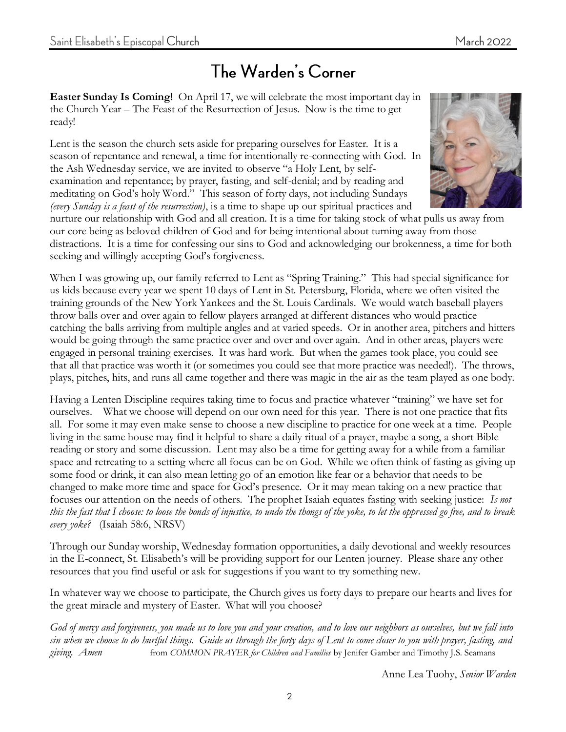#### The Warden's Corner

**Easter Sunday Is Coming!** On April 17, we will celebrate the most important day in the Church Year – The Feast of the Resurrection of Jesus. Now is the time to get ready!

Lent is the season the church sets aside for preparing ourselves for Easter. It is a season of repentance and renewal, a time for intentionally re-connecting with God. In the Ash Wednesday service, we are invited to observe "a Holy Lent, by selfexamination and repentance; by prayer, fasting, and self-denial; and by reading and meditating on God's holy Word." This season of forty days, not including Sundays *(every Sunday is a feast of the resurrection)*, is a time to shape up our spiritual practices and



nurture our relationship with God and all creation. It is a time for taking stock of what pulls us away from our core being as beloved children of God and for being intentional about turning away from those distractions. It is a time for confessing our sins to God and acknowledging our brokenness, a time for both seeking and willingly accepting God's forgiveness.

When I was growing up, our family referred to Lent as "Spring Training." This had special significance for us kids because every year we spent 10 days of Lent in St. Petersburg, Florida, where we often visited the training grounds of the New York Yankees and the St. Louis Cardinals. We would watch baseball players throw balls over and over again to fellow players arranged at different distances who would practice catching the balls arriving from multiple angles and at varied speeds. Or in another area, pitchers and hitters would be going through the same practice over and over and over again. And in other areas, players were engaged in personal training exercises. It was hard work. But when the games took place, you could see that all that practice was worth it (or sometimes you could see that more practice was needed!). The throws, plays, pitches, hits, and runs all came together and there was magic in the air as the team played as one body.

Having a Lenten Discipline requires taking time to focus and practice whatever "training" we have set for ourselves. What we choose will depend on our own need for this year. There is not one practice that fits all. For some it may even make sense to choose a new discipline to practice for one week at a time. People living in the same house may find it helpful to share a daily ritual of a prayer, maybe a song, a short Bible reading or story and some discussion. Lent may also be a time for getting away for a while from a familiar space and retreating to a setting where all focus can be on God. While we often think of fasting as giving up some food or drink, it can also mean letting go of an emotion like fear or a behavior that needs to be changed to make more time and space for God's presence. Or it may mean taking on a new practice that focuses our attention on the needs of others. The prophet Isaiah equates fasting with seeking justice: *Is not this the fast that I choose: to loose the bonds of injustice, to undo the thongs of the yoke, to let the oppressed go free, and to break every yoke?* (Isaiah 58:6, NRSV)

Through our Sunday worship, Wednesday formation opportunities, a daily devotional and weekly resources in the E-connect, St. Elisabeth's will be providing support for our Lenten journey. Please share any other resources that you find useful or ask for suggestions if you want to try something new.

In whatever way we choose to participate, the Church gives us forty days to prepare our hearts and lives for the great miracle and mystery of Easter. What will you choose?

*God of mercy and forgiveness, you made us to love you and your creation, and to love our neighbors as ourselves, but we fall into sin when we choose to do hurtful things. Guide us through the forty days of Lent to come closer to you with prayer, fasting, and giving. Amen* from *COMMON PRAYER for Children and Families* by Jenifer Gamber and Timothy J.S. Seamans

Anne Lea Tuohy, *Senior Warden*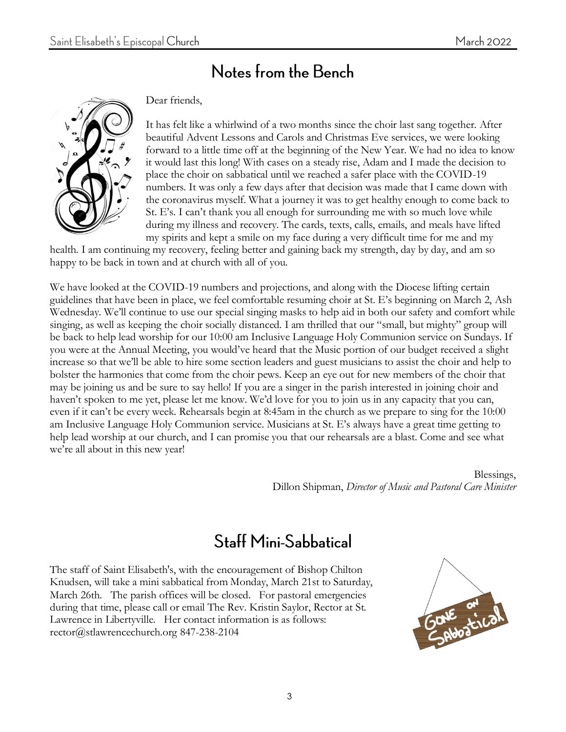#### Notes from the Bench



Dear friends,

It has felt like a whirlwind of a two months since the choir last sang together. After beautiful Advent Lessons and Carols and Christmas Eve services, we were looking forward to a little time off at the beginning of the New Year. We had no idea to know it would last this long! With cases on a steady rise, Adam and I made the decision to place the choir on sabbatical until we reached a safer place with the COVID-19 numbers. It was only a few days after that decision was made that I came down with the coronavirus myself. What a journey it was to get healthy enough to come back to St. E's. I can't thank you all enough for surrounding me with so much love while during my illness and recovery. The cards, texts, calls, emails, and meals have lifted my spirits and kept a smile on my face during a very difficult time for me and my

health. I am continuing my recovery, feeling better and gaining back my strength, day by day, and am so happy to be back in town and at church with all of you.

We have looked at the COVID-19 numbers and projections, and along with the Diocese lifting certain guidelines that have been in place, we feel comfortable resuming choir at St. E's beginning on March 2, Ash Wednesday. We'll continue to use our special singing masks to help aid in both our safety and comfort while singing, as well as keeping the choir socially distanced. I am thrilled that our "small, but mighty" group will be back to help lead worship for our 10:00 am Inclusive Language Holy Communion service on Sundays. If you were at the Annual Meeting, you would've heard that the Music portion of our budget received a slight increase so that we'll be able to hire some section leaders and guest musicians to assist the choir and help to bolster the harmonies that come from the choir pews. Keep an eye out for new members of the choir that may be joining us and be sure to say hello! If you are a singer in the parish interested in joining choir and haven't spoken to me yet, please let me know. We'd love for you to join us in any capacity that you can, even if it can't be every week. Rehearsals begin at 8:45am in the church as we prepare to sing for the 10:00 am Inclusive Language Holy Communion service. Musicians at St. E's always have a great time getting to help lead worship at our church, and I can promise you that our rehearsals are a blast. Come and see what we're all about in this new year!

> Blessings, Dillon Shipman, *Director of Music and Pastoral Care Minister*

#### **Staff Mini-Sabbatical**

The staff of Saint Elisabeth's, with the encouragement of Bishop Chilton Knudsen, will take a mini sabbatical from Monday, March 21st to Saturday, March 26th. The parish offices will be closed. For pastoral emergencies during that time, please call or email The Rev. Kristin Saylor, Rector at St. Lawrence in Libertyville. Her contact information is as follows: rector@stlawrencechurch.org 847-238-2104

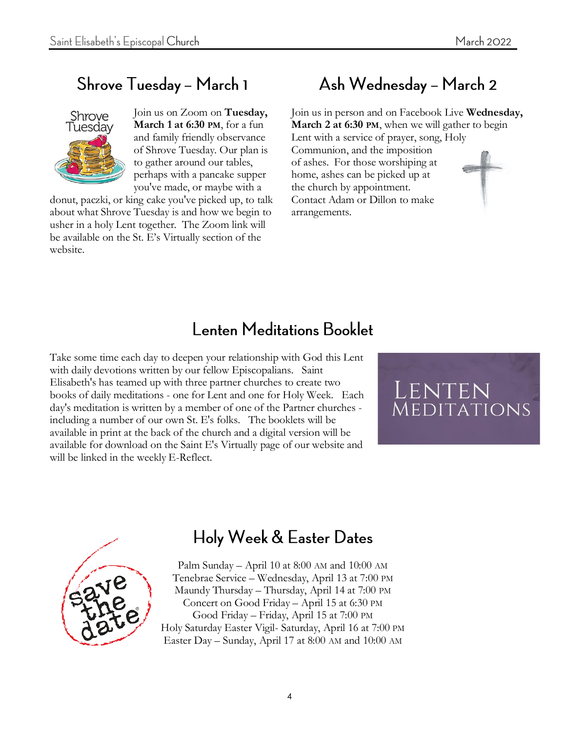## Shrove Tuesday - March 1



Join us on Zoom on **Tuesday, March 1 at 6:30 PM**, for a fun and family friendly observance of Shrove Tuesday. Our plan is to gather around our tables, perhaps with a pancake supper you've made, or maybe with a

donut, paczki, or king cake you've picked up, to talk about what Shrove Tuesday is and how we begin to usher in a holy Lent together. The Zoom link will be available on the St. E's Virtually section of the website.

## Ash Wednesday - March 2

Join us in person and on Facebook Live **Wednesday, March 2 at 6:30 PM**, when we will gather to begin Lent with a service of prayer, song, Holy Communion, and the imposition of ashes. For those worshiping at home, ashes can be picked up at the church by appointment. Contact Adam or Dillon to make arrangements.

#### **Lenten Meditations Booklet**

Take some time each day to deepen your relationship with God this Lent with daily devotions written by our fellow Episcopalians. Saint Elisabeth's has teamed up with three partner churches to create two books of daily meditations - one for Lent and one for Holy Week. Each day's meditation is written by a member of one of the Partner churches including a number of our own St. E's folks. The booklets will be available in print at the back of the church and a digital version will be available for download on the Saint E's Virtually page of our website and will be linked in the weekly E-Reflect.





## Holy Week & Easter Dates

Palm Sunday – April 10 at 8:00 AM and 10:00 AM Tenebrae Service – Wednesday, April 13 at 7:00 PM Maundy Thursday – Thursday, April 14 at 7:00 PM Concert on Good Friday – April 15 at 6:30 PM Good Friday – Friday, April 15 at 7:00 PM Holy Saturday Easter Vigil- Saturday, April 16 at 7:00 PM Easter Day – Sunday, April 17 at 8:00 AM and 10:00 AM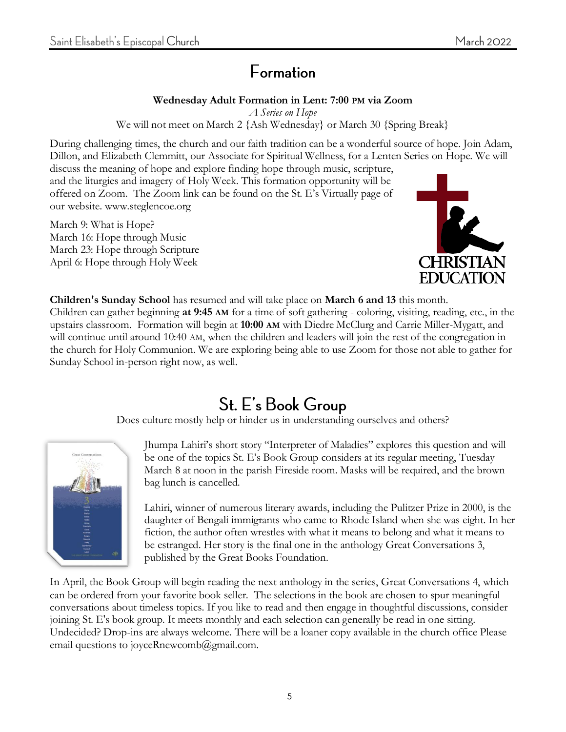#### Formation

#### **Wednesday Adult Formation in Lent: 7:00 PM via Zoom**

*A Series on Hope* We will not meet on March 2 {Ash Wednesday} or March 30 {Spring Break}

During challenging times, the church and our faith tradition can be a wonderful source of hope. Join Adam, Dillon, and Elizabeth Clemmitt, our Associate for Spiritual Wellness, for a Lenten Series on Hope. We will

discuss the meaning of hope and explore finding hope through music, scripture, and the liturgies and imagery of Holy Week. This formation opportunity will be offered on Zoom. The Zoom link can be found on the St. E's Virtually page of our website. www.steglencoe.org

March 9: What is Hope? March 16: Hope through Music March 23: Hope through Scripture April 6: Hope through Holy Week



**Children's Sunday School** has resumed and will take place on **March 6 and 13** this month. Children can gather beginning **at 9:45 AM** for a time of soft gathering - coloring, visiting, reading, etc., in the upstairs classroom. Formation will begin at **10:00 AM** with Diedre McClurg and Carrie Miller-Mygatt, and will continue until around 10:40 AM, when the children and leaders will join the rest of the congregation in the church for Holy Communion. We are exploring being able to use Zoom for those not able to gather for Sunday School in-person right now, as well.

## St. E's Book Group

Does culture mostly help or hinder us in understanding ourselves and others?



Jhumpa Lahiri's short story "Interpreter of Maladies" explores this question and will be one of the topics St. E's Book Group considers at its regular meeting, Tuesday March 8 at noon in the parish Fireside room. Masks will be required, and the brown bag lunch is cancelled.

Lahiri, winner of numerous literary awards, including the Pulitzer Prize in 2000, is the daughter of Bengali immigrants who came to Rhode Island when she was eight. In her fiction, the author often wrestles with what it means to belong and what it means to be estranged. Her story is the final one in the anthology Great Conversations 3, published by the Great Books Foundation.

In April, the Book Group will begin reading the next anthology in the series, Great Conversations 4, which can be ordered from your favorite book seller. The selections in the book are chosen to spur meaningful conversations about timeless topics. If you like to read and then engage in thoughtful discussions, consider joining St. E's book group. It meets monthly and each selection can generally be read in one sitting. Undecided? Drop-ins are always welcome. There will be a loaner copy available in the church office Please email questions to joyceRnewcomb@gmail.com.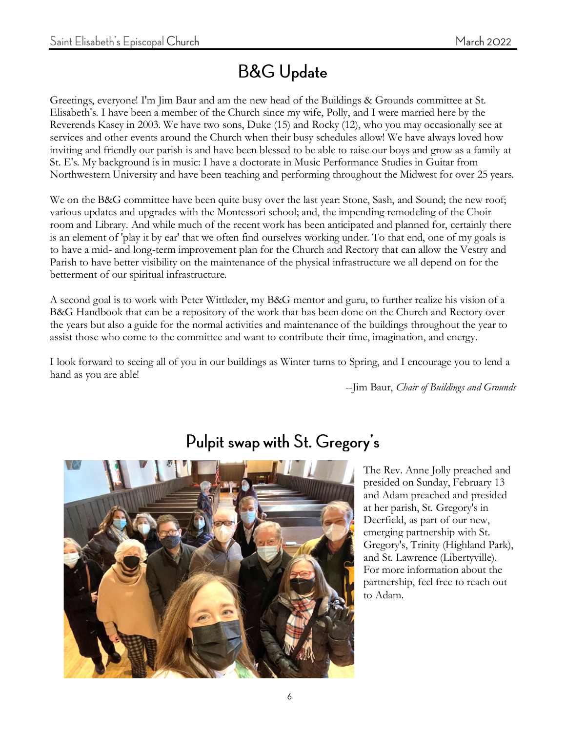## **B&G Update**

Greetings, everyone! I'm Jim Baur and am the new head of the Buildings & Grounds committee at St. Elisabeth's. I have been a member of the Church since my wife, Polly, and I were married here by the Reverends Kasey in 2003. We have two sons, Duke (15) and Rocky (12), who you may occasionally see at services and other events around the Church when their busy schedules allow! We have always loved how inviting and friendly our parish is and have been blessed to be able to raise our boys and grow as a family at St. E's. My background is in music: I have a doctorate in Music Performance Studies in Guitar from Northwestern University and have been teaching and performing throughout the Midwest for over 25 years.

We on the B&G committee have been quite busy over the last year: Stone, Sash, and Sound; the new roof; various updates and upgrades with the Montessori school; and, the impending remodeling of the Choir room and Library. And while much of the recent work has been anticipated and planned for, certainly there is an element of 'play it by ear' that we often find ourselves working under. To that end, one of my goals is to have a mid- and long-term improvement plan for the Church and Rectory that can allow the Vestry and Parish to have better visibility on the maintenance of the physical infrastructure we all depend on for the betterment of our spiritual infrastructure.

A second goal is to work with Peter Wittleder, my B&G mentor and guru, to further realize his vision of a B&G Handbook that can be a repository of the work that has been done on the Church and Rectory over the years but also a guide for the normal activities and maintenance of the buildings throughout the year to assist those who come to the committee and want to contribute their time, imagination, and energy.

I look forward to seeing all of you in our buildings as Winter turns to Spring, and I encourage you to lend a hand as you are able!

--Jim Baur, *Chair of Buildings and Grounds*



#### Pulpit swap with St. Gregory's

The Rev. Anne Jolly preached and presided on Sunday, February 13 and Adam preached and presided at her parish, St. Gregory's in Deerfield, as part of our new, emerging partnership with St. Gregory's, Trinity (Highland Park), and St. Lawrence (Libertyville). For more information about the partnership, feel free to reach out to Adam.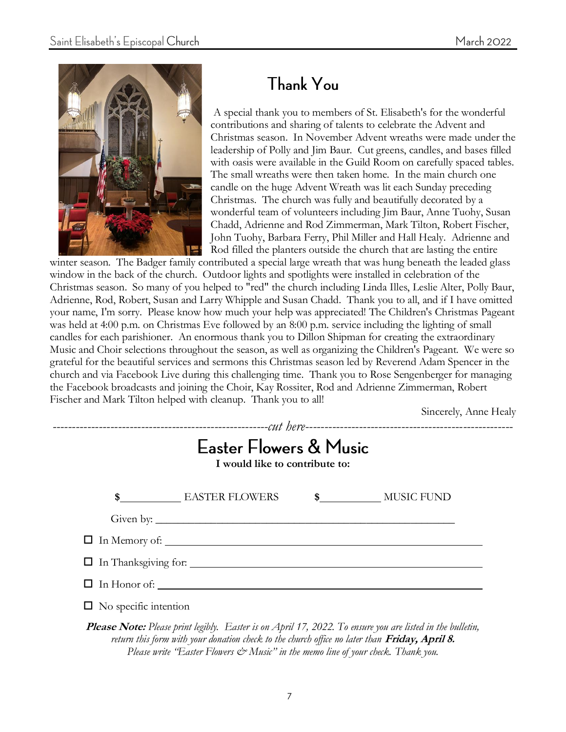

## **Thank You**

A special thank you to members of St. Elisabeth's for the wonderful contributions and sharing of talents to celebrate the Advent and Christmas season. In November Advent wreaths were made under the leadership of Polly and Jim Baur. Cut greens, candles, and bases filled with oasis were available in the Guild Room on carefully spaced tables. The small wreaths were then taken home. In the main church one candle on the huge Advent Wreath was lit each Sunday preceding Christmas. The church was fully and beautifully decorated by a wonderful team of volunteers including Jim Baur, Anne Tuohy, Susan Chadd, Adrienne and Rod Zimmerman, Mark Tilton, Robert Fischer, John Tuohy, Barbara Ferry, Phil Miller and Hall Healy. Adrienne and Rod filled the planters outside the church that are lasting the entire

winter season. The Badger family contributed a special large wreath that was hung beneath the leaded glass window in the back of the church. Outdoor lights and spotlights were installed in celebration of the Christmas season. So many of you helped to "red" the church including Linda Illes, Leslie Alter, Polly Baur, Adrienne, Rod, Robert, Susan and Larry Whipple and Susan Chadd. Thank you to all, and if I have omitted your name, I'm sorry. Please know how much your help was appreciated! The Children's Christmas Pageant was held at 4:00 p.m. on Christmas Eve followed by an 8:00 p.m. service including the lighting of small candles for each parishioner. An enormous thank you to Dillon Shipman for creating the extraordinary Music and Choir selections throughout the season, as well as organizing the Children's Pageant. We were so grateful for the beautiful services and sermons this Christmas season led by Reverend Adam Spencer in the church and via Facebook Live during this challenging time. Thank you to Rose Sengenberger for managing the Facebook broadcasts and joining the Choir, Kay Rossiter, Rod and Adrienne Zimmerman, Robert Fischer and Mark Tilton helped with cleanup. Thank you to all!

Sincerely, Anne Healy

| <b>Easter Flowers &amp; Music</b><br>I would like to contribute to: |                                                                                                           |  |  |
|---------------------------------------------------------------------|-----------------------------------------------------------------------------------------------------------|--|--|
|                                                                     | \$ EASTER FLOWERS \$ MUSIC FUND                                                                           |  |  |
|                                                                     |                                                                                                           |  |  |
|                                                                     |                                                                                                           |  |  |
|                                                                     |                                                                                                           |  |  |
|                                                                     | $\Box$ In Honor of:                                                                                       |  |  |
| $\Box$ No specific intention                                        |                                                                                                           |  |  |
|                                                                     | Please Note: Please print legibly. Easter is on April 17, 2022. To ensure you are listed in the bulletin, |  |  |

*return this form with your donation check to the church office no later than* **Friday, April 8.** *Please write "Easter Flowers*  $\mathcal{Q}$  *Music" in the memo line of your check. Thank you.*